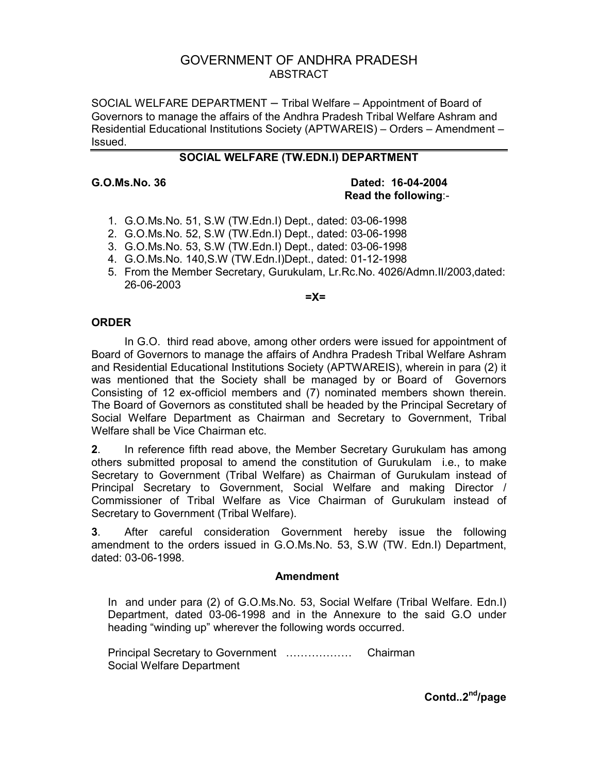# GOVERNMENT OF ANDHRA PRADESH ABSTRACT

SOCIAL WELFARE DEPARTMENT – Tribal Welfare – Appointment of Board of Governors to manage the affairs of the Andhra Pradesh Tribal Welfare Ashram and Residential Educational Institutions Society (APTWAREIS) – Orders – Amendment – Issued.

# **SOCIAL WELFARE (TW.EDN.I) DEPARTMENT**

#### **G.O.Ms.No. 36 Dated: 16-04-2004 Read the following**:-

- 1. G.O.Ms.No. 51, S.W (TW.Edn.I) Dept., dated: 03-06-1998
- 2. G.O.Ms.No. 52, S.W (TW.Edn.I) Dept., dated: 03-06-1998
- 3. G.O.Ms.No. 53, S.W (TW.Edn.I) Dept., dated: 03-06-1998
- 4. G.O.Ms.No. 140,S.W (TW.Edn.I)Dept., dated: 01-12-1998
- 5. From the Member Secretary, Gurukulam, Lr.Rc.No. 4026/Admn.II/2003,dated: 26-06-2003

**=X=** 

## **ORDER**

 In G.O. third read above, among other orders were issued for appointment of Board of Governors to manage the affairs of Andhra Pradesh Tribal Welfare Ashram and Residential Educational Institutions Society (APTWAREIS), wherein in para (2) it was mentioned that the Society shall be managed by or Board of Governors Consisting of 12 ex-officiol members and (7) nominated members shown therein. The Board of Governors as constituted shall be headed by the Principal Secretary of Social Welfare Department as Chairman and Secretary to Government, Tribal Welfare shall be Vice Chairman etc.

**2**. In reference fifth read above, the Member Secretary Gurukulam has among others submitted proposal to amend the constitution of Gurukulam i.e., to make Secretary to Government (Tribal Welfare) as Chairman of Gurukulam instead of Principal Secretary to Government, Social Welfare and making Director / Commissioner of Tribal Welfare as Vice Chairman of Gurukulam instead of Secretary to Government (Tribal Welfare).

**3**. After careful consideration Government hereby issue the following amendment to the orders issued in G.O.Ms.No. 53, S.W (TW. Edn.I) Department, dated: 03-06-1998.

### **Amendment**

In and under para (2) of G.O.Ms.No. 53, Social Welfare (Tribal Welfare. Edn.I) Department, dated 03-06-1998 and in the Annexure to the said G.O under heading "winding up" wherever the following words occurred.

Principal Secretary to Government ……………… Chairman Social Welfare Department

**Contd..2nd/page**